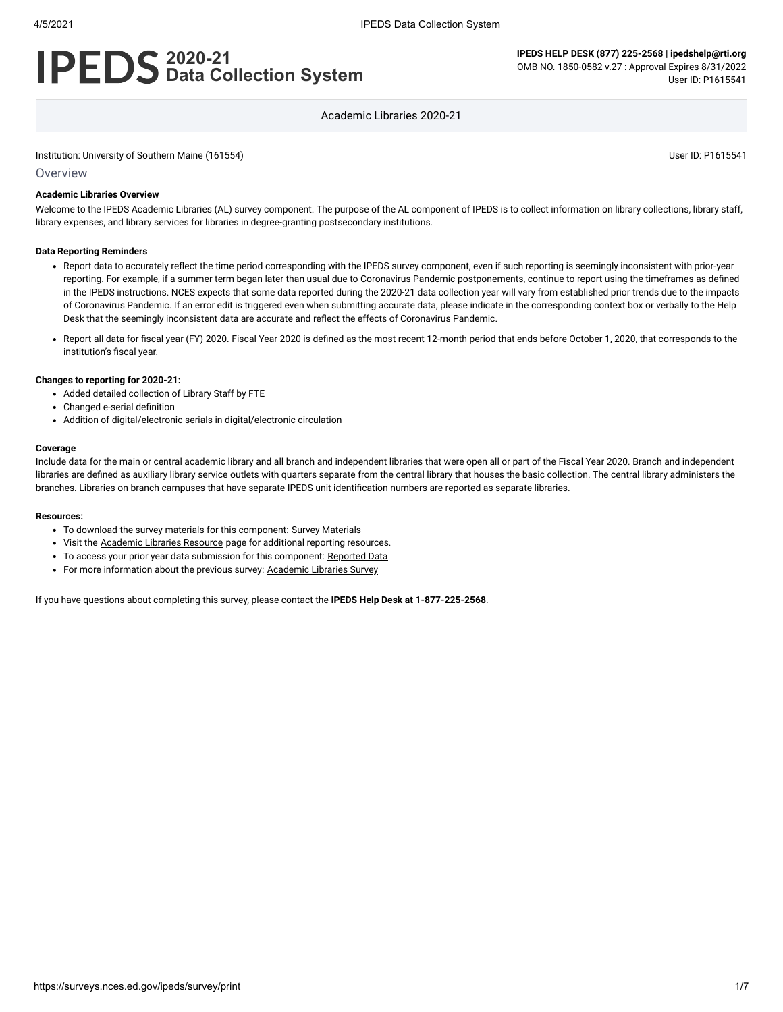# **2020-21 Data Collection System**

**IPEDS HELP DESK (877) 225-2568 | ipedshelp@rti.org** OMB NO. 1850-0582 v.27 : Approval Expires 8/31/2022 User ID: P1615541

Academic Libraries 2020-21

Institution: University of Southern Maine (161554) User ID: P1615541

Overview

#### **Academic Libraries Overview**

Welcome to the IPEDS Academic Libraries (AL) survey component. The purpose of the AL component of IPEDS is to collect information on library collections, library staff, library expenses, and library services for libraries in degree-granting postsecondary institutions.

#### **Data Reporting Reminders**

- Report data to accurately reflect the time period corresponding with the IPEDS survey component, even if such reporting is seemingly inconsistent with prior-year reporting. For example, if a summer term began later than usual due to Coronavirus Pandemic postponements, continue to report using the timeframes as defined in the IPEDS instructions. NCES expects that some data reported during the 2020-21 data collection year will vary from established prior trends due to the impacts of Coronavirus Pandemic. If an error edit is triggered even when submitting accurate data, please indicate in the corresponding context box or verbally to the Help Desk that the seemingly inconsistent data are accurate and reflect the effects of Coronavirus Pandemic.
- Report all data for fiscal year (FY) 2020. Fiscal Year 2020 is defined as the most recent 12-month period that ends before October 1, 2020, that corresponds to the institution's fiscal year.

#### **Changes to reporting for 2020-21:**

- Added detailed collection of Library Staff by FTE
- Changed e-serial definition
- Addition of digital/electronic serials in digital/electronic circulation

#### **Coverage**

Include data for the main or central academic library and all branch and independent libraries that were open all or part of the Fiscal Year 2020. Branch and independent libraries are defined as auxiliary library service outlets with quarters separate from the central library that houses the basic collection. The central library administers the branches. Libraries on branch campuses that have separate IPEDS unit identification numbers are reported as separate libraries.

#### **Resources:**

- To download the survey materials for this component: Survey [Materials](https://surveys.nces.ed.gov/ipeds/public/survey-materials/index)
- Visit the [Academic](https://nces.ed.gov/ipeds/report-your-data/resource-center-academic-libraries) Libraries Resource page for additional reporting resources.
- To access your prior year data submission for this component: [Reported Data](https://surveys.nces.ed.gov/IPEDS_py/DataForms.aspx?f0e9e4efc4dfb8acb1acb0b0afa1eef0edf1e0f4c4dfb8acb0a1f0eee0edc4dfb8cbacb1acb0b0afaca1f0e9e4efc9dce8e0b8d0e9e4f1e0edeee4eff49beae19bceeaf0efe3e0ede99bc8dce4e9e0a1ebedeadee0eeeeb8e0f3efe0ede9dce7a1eddfefb8afaab0aaadabadac9bacb5adb1b5adab9bcbc8)
- For more information about the previous survey: [Academic](https://nces.ed.gov/surveys/libraries/academic.asp) Libraries Survey

If you have questions about completing this survey, please contact the **IPEDS Help Desk at 1-877-225-2568**.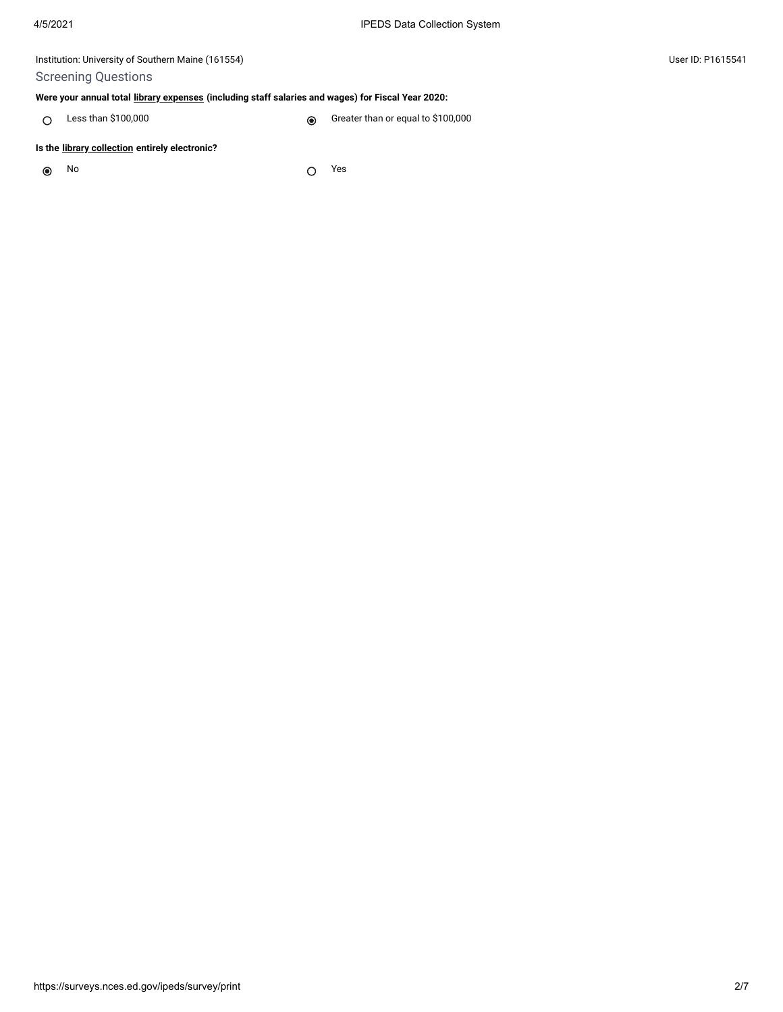## Screening Questions

#### **Were your annual total [library expenses](javascript:openglossary(1040)) (including staff salaries and wages) for Fiscal Year 2020:**

C Less than \$100,000 Creater than or equal to \$100,000

#### **Is the [library collection](javascript:openglossary(932)) entirely electronic?**

 $\odot$ 

No Yes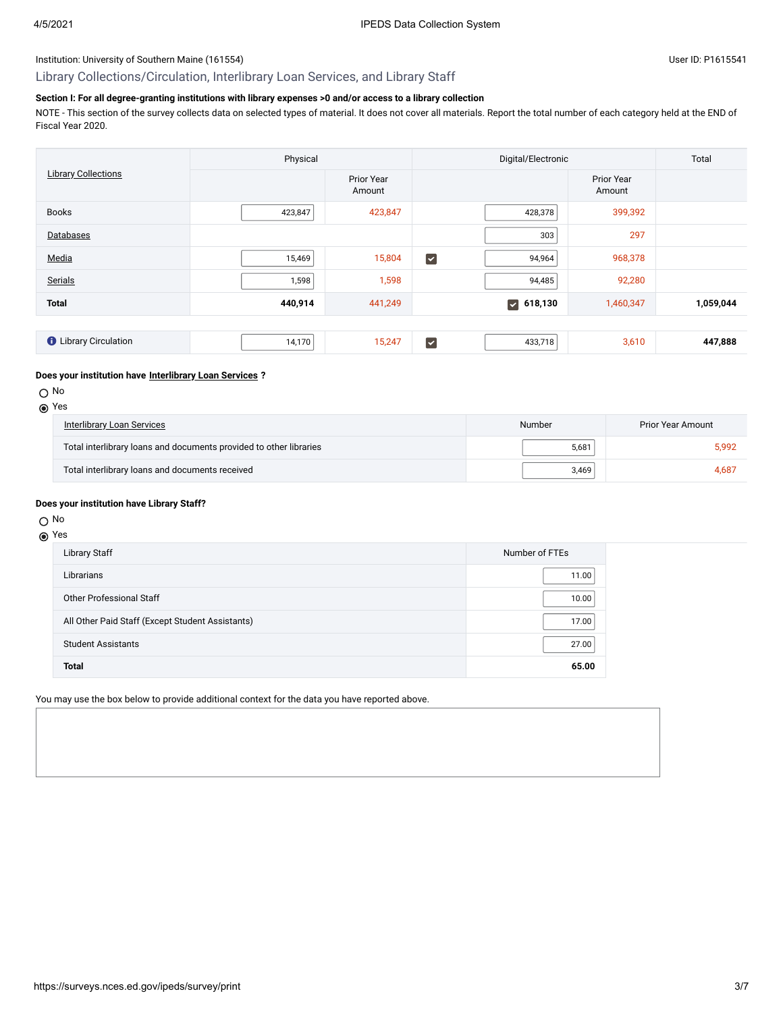## Library Collections/Circulation, Interlibrary Loan Services, and Library Staff

## **Section I: For all degree-granting institutions with library expenses >0 and/or access to a library collection**

NOTE - This section of the survey collects data on selected types of material. It does not cover all materials. Report the total number of each category held at the END of Fiscal Year 2020.

| <b>Library Collections</b>   | Physical |                      | Digital/Electronic      |                  |                      | Total     |
|------------------------------|----------|----------------------|-------------------------|------------------|----------------------|-----------|
|                              |          | Prior Year<br>Amount |                         |                  | Prior Year<br>Amount |           |
| <b>Books</b>                 | 423,847  | 423,847              |                         | 428,378          | 399,392              |           |
| Databases                    |          |                      |                         | 303              | 297                  |           |
| Media                        | 15,469   | 15,804               | $\blacktriangledown$    | 94,964           | 968,378              |           |
| Serials                      | 1,598    | 1,598                |                         | 94,485           | 92,280               |           |
| <b>Total</b>                 | 440,914  | 441,249              |                         | $\sqrt{618,130}$ | 1,460,347            | 1,059,044 |
|                              |          |                      |                         |                  |                      |           |
| <b>O</b> Library Circulation | 14,170   | 15,247               | $\overline{\mathbf{v}}$ | 433,718          | 3,610                | 447,888   |

#### **Does your institution have [Interlibrary Loan Services](javascript:openglossary(1025)) ?**

#### O No

| <b>Interlibrary Loan Services</b>                                  | Number | Prior Year Amount |  |
|--------------------------------------------------------------------|--------|-------------------|--|
| Total interlibrary loans and documents provided to other libraries | 5,681  | 5.992             |  |
| Total interlibrary loans and documents received                    | 3.469  | 4.687             |  |

#### **Does your institution have Library Staff?**

## O No

#### Yes

| <b>Library Staff</b>                             | Number of FTEs |
|--------------------------------------------------|----------------|
| Librarians                                       | 11.00          |
| Other Professional Staff                         | 10.00          |
| All Other Paid Staff (Except Student Assistants) | 17.00          |
| <b>Student Assistants</b>                        | 27.00          |
| <b>Total</b>                                     | 65.00          |

You may use the box below to provide additional context for the data you have reported above.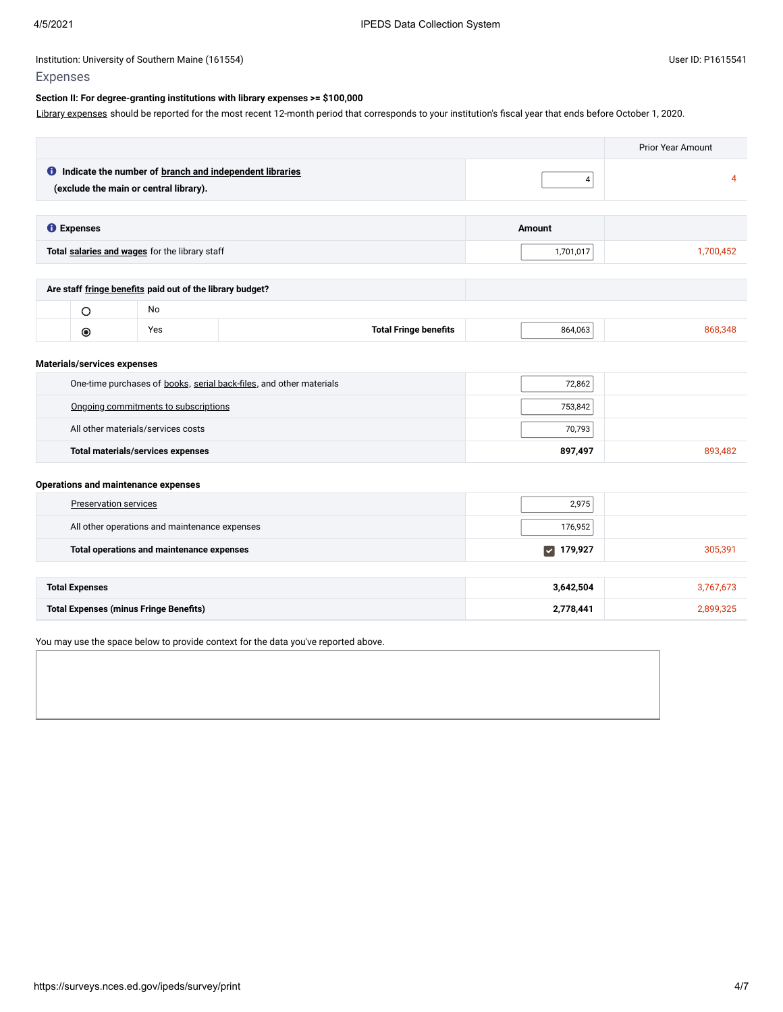Library [expenses](javascript:openglossary(1040)) should be reported for the most recent 12-month period that corresponds to your institution's fiscal year that ends before October 1, 2020.

|                                                                                                            |                              |                                 | <b>Prior Year Amount</b> |  |  |
|------------------------------------------------------------------------------------------------------------|------------------------------|---------------------------------|--------------------------|--|--|
| <b>O</b> Indicate the number of branch and independent libraries<br>(exclude the main or central library). |                              | $\pmb{4}$                       | $\overline{4}$           |  |  |
|                                                                                                            |                              |                                 |                          |  |  |
| <b>O</b> Expenses                                                                                          |                              | Amount                          |                          |  |  |
| Total salaries and wages for the library staff                                                             |                              | 1,701,017                       | 1,700,452                |  |  |
|                                                                                                            |                              |                                 |                          |  |  |
| Are staff fringe benefits paid out of the library budget?                                                  |                              |                                 |                          |  |  |
| No<br>$\circ$                                                                                              |                              |                                 |                          |  |  |
| Yes<br>$\circledcirc$                                                                                      | <b>Total Fringe benefits</b> | 864,063                         | 868,348                  |  |  |
| Materials/services expenses                                                                                |                              |                                 |                          |  |  |
| One-time purchases of books, serial back-files, and other materials<br>72,862                              |                              |                                 |                          |  |  |
| Ongoing commitments to subscriptions                                                                       |                              | 753,842                         |                          |  |  |
| All other materials/services costs                                                                         |                              | 70,793                          |                          |  |  |
| <b>Total materials/services expenses</b>                                                                   |                              | 897,497                         | 893,482                  |  |  |
| Operations and maintenance expenses                                                                        |                              |                                 |                          |  |  |
| <b>Preservation services</b>                                                                               |                              | 2,975                           |                          |  |  |
| All other operations and maintenance expenses                                                              |                              | 176,952                         |                          |  |  |
| Total operations and maintenance expenses                                                                  |                              | 179,927<br>$\blacktriangledown$ | 305,391                  |  |  |
|                                                                                                            |                              |                                 |                          |  |  |
| <b>Total Expenses</b>                                                                                      |                              | 3,642,504                       | 3,767,673                |  |  |
| <b>Total Expenses (minus Fringe Benefits)</b>                                                              |                              | 2,778,441                       | 2,899,325                |  |  |

You may use the space below to provide context for the data you've reported above.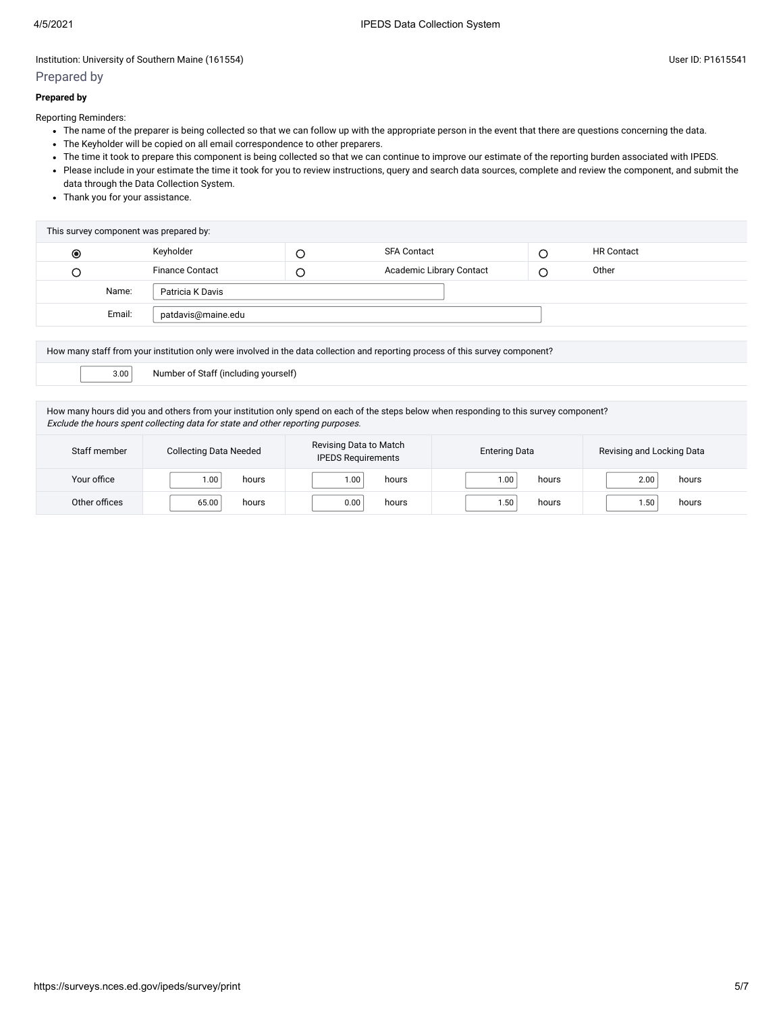## Prepared by

#### **Prepared by**

Reporting Reminders:

- The name of the preparer is being collected so that we can follow up with the appropriate person in the event that there are questions concerning the data.
- The Keyholder will be copied on all email correspondence to other preparers.
- The time it took to prepare this component is being collected so that we can continue to improve our estimate of the reporting burden associated with IPEDS.
- Please include in your estimate the time it took for you to review instructions, query and search data sources, complete and review the component, and submit the data through the Data Collection System.
- Thank you for your assistance.

| This survey component was prepared by: |                        |  |                          |  |                   |  |
|----------------------------------------|------------------------|--|--------------------------|--|-------------------|--|
| ◉                                      | Keyholder              |  | <b>SFA Contact</b>       |  | <b>HR Contact</b> |  |
|                                        | <b>Finance Contact</b> |  | Academic Library Contact |  | Other             |  |
| Name:                                  | Patricia K Davis       |  |                          |  |                   |  |
| Email:                                 | patdavis@maine.edu     |  |                          |  |                   |  |

| How many staff from your institution only were involved in the data collection and reporting process of this survey component?                                                                                             |  |  |  |  |
|----------------------------------------------------------------------------------------------------------------------------------------------------------------------------------------------------------------------------|--|--|--|--|
| Number of Staff (including yourself)<br>3.00                                                                                                                                                                               |  |  |  |  |
|                                                                                                                                                                                                                            |  |  |  |  |
| How many hours did you and others from your institution only spend on each of the steps below when responding to this survey component?<br>Exclude the hours spent collecting data for state and other reporting purposes. |  |  |  |  |
|                                                                                                                                                                                                                            |  |  |  |  |

| Staff member  | <b>Collecting Data Needed</b> | Revising Data to Match<br><b>IPEDS Requirements</b> | <b>Entering Data</b> | Revising and Locking Data |  |
|---------------|-------------------------------|-----------------------------------------------------|----------------------|---------------------------|--|
| Your office   | hours                         | hours                                               | hours                | hours                     |  |
|               | 1.00                          | 1.00                                                | 1.00                 | 2.00                      |  |
| Other offices | hours                         | hours                                               | hours                | hours                     |  |
|               | 65.00                         | 0.00                                                | 1.50                 | 50،،                      |  |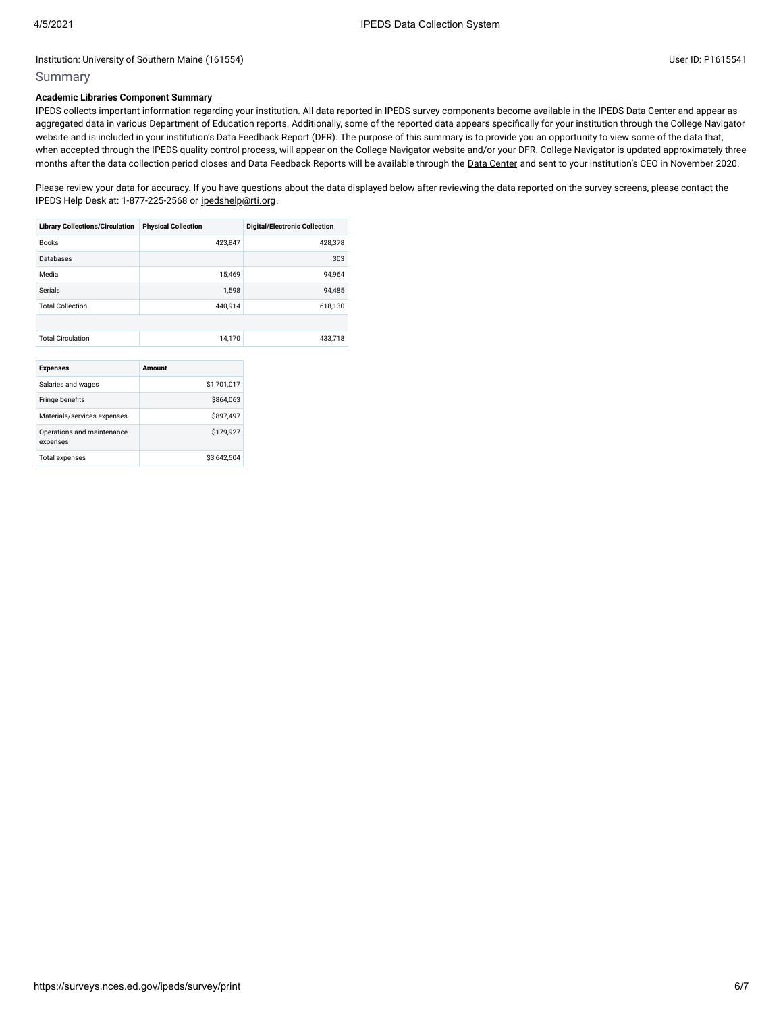### Summary

#### **Academic Libraries Component Summary**

IPEDS collects important information regarding your institution. All data reported in IPEDS survey components become available in the IPEDS Data Center and appear as aggregated data in various Department of Education reports. Additionally, some of the reported data appears specifically for your institution through the College Navigator website and is included in your institution's Data Feedback Report (DFR). The purpose of this summary is to provide you an opportunity to view some of the data that, when accepted through the IPEDS quality control process, will appear on the College Navigator website and/or your DFR. College Navigator is updated approximately three months after the data collection period closes and Data Feedback Reports will be available through the Data [Center](https://nces.ed.gov/ipeds/use-the-data) and sent to your institution's CEO in November 2020.

Please review your data for accuracy. If you have questions about the data displayed below after reviewing the data reported on the survey screens, please contact the IPEDS Help Desk at: 1-877-225-2568 or [ipedshelp@rti.org.](mailto:ipedshelp@rti.org)

| <b>Library Collections/Circulation</b> | <b>Physical Collection</b> | <b>Digital/Electronic Collection</b> |
|----------------------------------------|----------------------------|--------------------------------------|
| <b>Books</b>                           | 423,847                    | 428,378                              |
| Databases                              |                            | 303                                  |
| Media                                  | 15.469                     | 94,964                               |
| Serials                                | 1,598                      | 94,485                               |
| <b>Total Collection</b>                | 440.914                    | 618,130                              |
|                                        |                            |                                      |
| <b>Total Circulation</b>               | 14,170                     | 433,718                              |

| <b>Expenses</b>                        | Amount      |
|----------------------------------------|-------------|
| Salaries and wages                     | \$1,701.017 |
| Fringe benefits                        | \$864,063   |
| Materials/services expenses            | \$897.497   |
| Operations and maintenance<br>expenses | \$179.927   |
| <b>Total expenses</b>                  | \$3.642.504 |